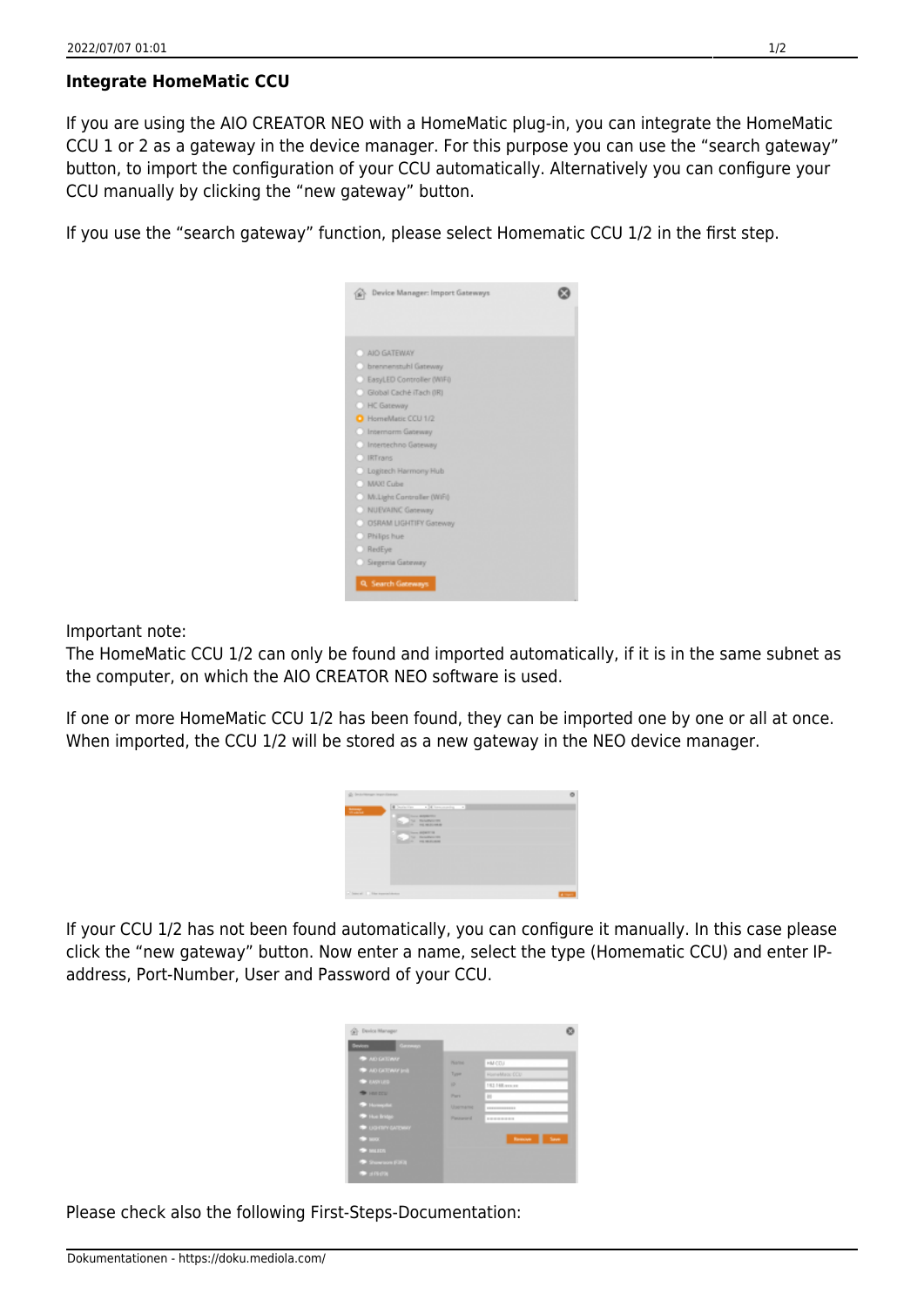## **Integrate HomeMatic CCU**

If you are using the AIO CREATOR NEO with a HomeMatic plug-in, you can integrate the HomeMatic CCU 1 or 2 as a gateway in the device manager. For this purpose you can use the "search gateway" button, to import the configuration of your CCU automatically. Alternatively you can configure your CCU manually by clicking the "new gateway" button.

If you use the "search gateway" function, please select Homematic CCU 1/2 in the first step.



Important note:

The HomeMatic CCU 1/2 can only be found and imported automatically, if it is in the same subnet as the computer, on which the AIO CREATOR NEO software is used.

If one or more HomeMatic CCU 1/2 has been found, they can be imported one by one or all at once. When imported, the CCU 1/2 will be stored as a new gateway in the NEO device manager.

| g) intriman inprofessor.   |                                               |                |
|----------------------------|-----------------------------------------------|----------------|
| $\frac{1}{2}$              | I believe a distance of a                     |                |
|                            | <b>Sales Montered</b><br>N. NAMER<br>A HEROMA |                |
|                            | <b>Call States</b>                            |                |
|                            |                                               |                |
|                            |                                               |                |
|                            |                                               |                |
| Chancel C. The transitions |                                               | $\overline{a}$ |

If your CCU 1/2 has not been found automatically, you can configure it manually. In this case please click the "new gateway" button. Now enter a name, select the type (Homematic CCU) and enter IPaddress, Port-Number, User and Password of your CCU.

| <b>Seviors</b><br>Geneva |                |                                              |
|--------------------------|----------------|----------------------------------------------|
| <b>* AD GATOWY</b>       | <b>PEARING</b> | HM COU                                       |
| AD GATEWAY INT           | Type           | HomeMatic OCU                                |
| <b>BELIEVE AND</b>       | w              | 151166.exp.ex.                               |
| <b>B</b> HALDCU          | Park           | m                                            |
| <b>Thompson</b>          | Username       | <b>EXPERIENCES</b>                           |
| <sup>*</sup> Ho Brige    | Personnel      | <b><i><u>P.O. R. P.O. R. P.O. R.</u></i></b> |
| <b>* UGITIY GATEWAY</b>  |                |                                              |
| $+100$                   |                | Seve<br>Remove                               |
| $\rightarrow$ matrix     |                |                                              |

Please check also the following First-Steps-Documentation: